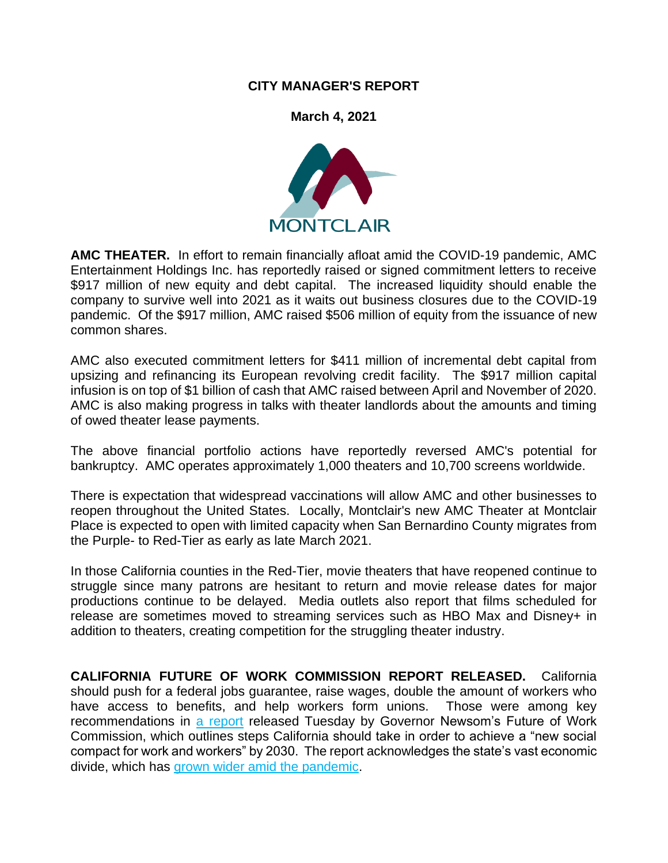## **CITY MANAGER'S REPORT**

**March 4, 2021**



**AMC THEATER.** In effort to remain financially afloat amid the COVID-19 pandemic, AMC Entertainment Holdings Inc. has reportedly raised or signed commitment letters to receive \$917 million of new equity and debt capital. The increased liquidity should enable the company to survive well into 2021 as it waits out business closures due to the COVID-19 pandemic. Of the \$917 million, AMC raised \$506 million of equity from the issuance of new common shares.

AMC also executed commitment letters for \$411 million of incremental debt capital from upsizing and refinancing its European revolving credit facility. The \$917 million capital infusion is on top of \$1 billion of cash that AMC raised between April and November of 2020. AMC is also making progress in talks with theater landlords about the amounts and timing of owed theater lease payments.

The above financial portfolio actions have reportedly reversed AMC's potential for bankruptcy. AMC operates approximately 1,000 theaters and 10,700 screens worldwide.

There is expectation that widespread vaccinations will allow AMC and other businesses to reopen throughout the United States. Locally, Montclair's new AMC Theater at Montclair Place is expected to open with limited capacity when San Bernardino County migrates from the Purple- to Red-Tier as early as late March 2021.

In those California counties in the Red-Tier, movie theaters that have reopened continue to struggle since many patrons are hesitant to return and movie release dates for major productions continue to be delayed. Media outlets also report that films scheduled for release are sometimes moved to streaming services such as HBO Max and Disney+ in addition to theaters, creating competition for the struggling theater industry.

**CALIFORNIA FUTURE OF WORK COMMISSION REPORT RELEASED.** California should push for a federal jobs guarantee, raise wages, double the amount of workers who have access to benefits, and help workers form unions. Those were among key recommendations in [a report](https://linkprotect.cudasvc.com/url?a=https%3a%2f%2fcalmatters.us11.list-manage.com%2ftrack%2fclick%3fu%3d5f4af3af825368013c58e4547%26id%3d832b8f686a%26e%3d4181c00a62&c=E,1,Xg1FJ6CA3tjy_68YC7pQtlPbrgM32rRJOiTGMuoINAdLIuAmzUxsKVaI7Mm7WeDrrjMQDKpHEjUU6fVqCEpLyicPugX35TcXGEw5wSjrjEM,&typo=1) released Tuesday by Governor Newsom's Future of Work Commission, which outlines steps California should take in order to achieve a "new social compact for work and workers" by 2030. The report acknowledges the state's vast economic divide, which has [grown wider amid the pandemic.](https://linkprotect.cudasvc.com/url?a=https%3a%2f%2fcalmatters.us11.list-manage.com%2ftrack%2fclick%3fu%3d5f4af3af825368013c58e4547%26id%3d21a0c04e47%26e%3d4181c00a62&c=E,1,DA9PsS3NS44rUpFGEUd7Z8IW00blqWSBm9HLh0FoQctnbCmmCnpby13ZRLIkVgq_ld8pSnivtg7MDeufIUzqxK9khDDO8Al-XwJuOMVkPVXGCR7E1ah9EWXK4w,,&typo=1)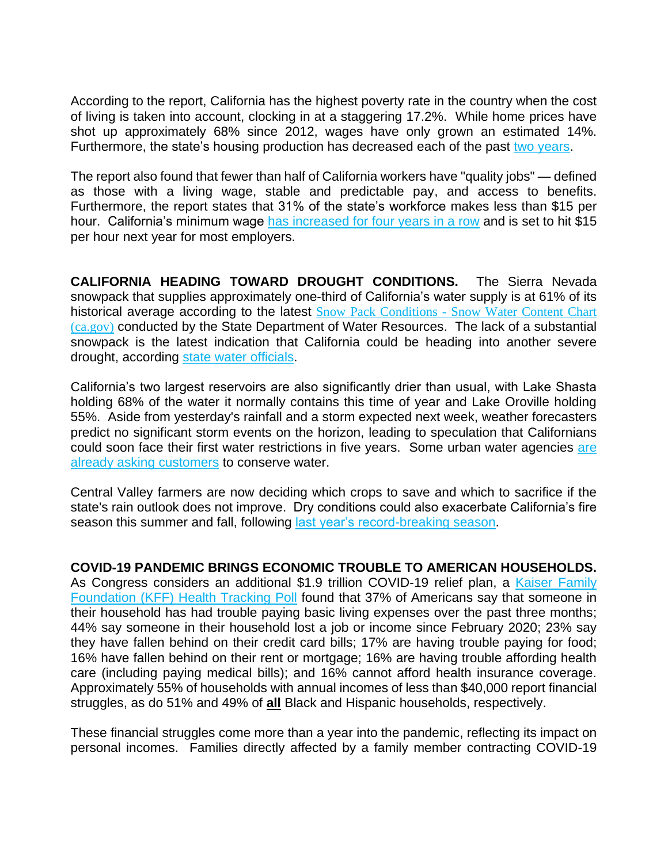According to the report, California has the highest poverty rate in the country when the cost of living is taken into account, clocking in at a staggering 17.2%. While home prices have shot up approximately 68% since 2012, wages have only grown an estimated 14%. Furthermore, the state's housing production has decreased each of the past [two years.](https://linkprotect.cudasvc.com/url?a=https%3a%2f%2fcalmatters.us11.list-manage.com%2ftrack%2fclick%3fu%3d5f4af3af825368013c58e4547%26id%3d5f9b9d004e%26e%3d4181c00a62&c=E,1,oC78-7PV2tvlqW1uWEPK_KcmD4bcoDgpbFAt4VIgfo8Jj1l3rOucl1Hyjd2zfpVGJN_B1qGKUPJuxdKdxqgMTflTz52GZ0fE4INoPRMLojTEL2j_HCMK&typo=1)

The report also found that fewer than half of California workers have "quality jobs" — defined as those with a living wage, stable and predictable pay, and access to benefits. Furthermore, the report states that 31% of the state's workforce makes less than \$15 per hour. California's minimum wage [has increased for four years in a row](https://linkprotect.cudasvc.com/url?a=https%3a%2f%2fcalmatters.us11.list-manage.com%2ftrack%2fclick%3fu%3d5f4af3af825368013c58e4547%26id%3dcd7ff51a75%26e%3d4181c00a62&c=E,1,sFqS5YySOJAZIsWCAAUjTY6VH3Eyk0Byb9FmAWHCavogZWkEhu4k3n3TTAMVsDmCiB7dDuu2Jzu6hf9f2EI-0gmM-gcAMNr2uscK1WFIt80f5qfm_NSYcoGrDw,,&typo=1) and is set to hit \$15 per hour next year for most employers.

**CALIFORNIA HEADING TOWARD DROUGHT CONDITIONS.** The Sierra Nevada snowpack that supplies approximately one-third of California's water supply is at 61% of its historical average according to the latest Snow Pack Conditions - Snow Water Content Chart [\(ca.gov\)](https://cdec.water.ca.gov/snowapp/sweq.action) conducted by the State Department of Water Resources. The lack of a substantial snowpack is the latest indication that California could be heading into another severe drought, according [state water officials.](https://linkprotect.cudasvc.com/url?a=https%3a%2f%2fcalmatters.us11.list-manage.com%2ftrack%2fclick%3fu%3d5f4af3af825368013c58e4547%26id%3df94de98f59%26e%3d4181c00a62&c=E,1,G8bZsPVkeYfPZcuuwJSC3qkUWMuF6EBbglknRtmJdu0j2UupxTieYkZ2vZbi610VoQaG3dBR3vHtpdn01rGShBOeTq7lTKI3iOcQhlj1xCNZfer37Xce&typo=1)

California's two largest reservoirs are also significantly drier than usual, with Lake Shasta holding 68% of the water it normally contains this time of year and Lake Oroville holding 55%. Aside from yesterday's rainfall and a storm expected next week, weather forecasters predict no significant storm events on the horizon, leading to speculation that Californians could soon face their first water restrictions in five years. Some urban water agencies are [already asking customers](https://linkprotect.cudasvc.com/url?a=https%3a%2f%2fcalmatters.us11.list-manage.com%2ftrack%2fclick%3fu%3d5f4af3af825368013c58e4547%26id%3dff2aa59ff8%26e%3d4181c00a62&c=E,1,gWqYHpUZGmXyuTzQNTSMLwzJHR8tw2shrz6uQDdWvHhvvdcyF-aHa6vMvDlsmmgG2dj1QZzSg8CecSd39JuItzwLENbDnZn3YOhjGk_LycRmmVwgL_s,&typo=1) to conserve water.

Central Valley farmers are now deciding which crops to save and which to sacrifice if the state's rain outlook does not improve. Dry conditions could also exacerbate California's fire season this summer and fall, following [last year's record-breaking season.](https://linkprotect.cudasvc.com/url?a=https%3a%2f%2fcalmatters.us11.list-manage.com%2ftrack%2fclick%3fu%3d5f4af3af825368013c58e4547%26id%3df60e20257e%26e%3d4181c00a62&c=E,1,srcQo9335l3VfnsR2uFc47NsvFpUYB5nD7sHhvafY5bDZXGhZgnDhpW0MqvmYdNCIwz1vsDoWUcPnUI5l0OV6wSth0IHWOeGVcEFg4xIs9JXbEZVOimsIE1NaQ,,&typo=1)

**COVID-19 PANDEMIC BRINGS ECONOMIC TROUBLE TO AMERICAN HOUSEHOLDS.** As Congress considers an additional \$1.9 trillion COVID-19 relief plan, a Kaiser Family [Foundation \(KFF\) Health Tracking Poll](https://connect.kff.org/e2t/tc/VWBK9C2gxKm_N55vMySS_f_wW35KrPN4nKvzKMpKrkw5nxG7V3Zsc37CgKtXW5KwM2v830LWXW60BlGQ5983tfW7ytH7W5SnWc-W4F7xD-4T15mrVBcY-07HDmshW6JxP-r3ChJFKW21GYNX1BbmVjW36vDcr8Qp7W7VlVK4Q70FSgSW3hhBYk5wk37QW6qtkP72K_1-jW7N31q-3z6634W8ls8xZ8LdxwBN1ddNXHzRtVVW7dn7xw4TK--fV5FH8M8GBc5WW8D0LGg2wZl1pVN9rj18gdTHrW2Czhx83Ln19QW6p7ckn2KVD11W1DN3dz5YGlLtW84tlDG5TbkLFW4jKnby3sTl8yVDpQyV59flcbW3kZjSS3Tgf-SW7p6hKW5wwTMYW5wT4BP58QTcNW4MmXL15Sjrq7W1vJJj18wNN2HW2SK4lK8qHxqQF6TRCXLjFjPV4fhxp8wbFSD360f1) found that 37% of Americans say that someone in their household has had trouble paying basic living expenses over the past three months; 44% say someone in their household lost a job or income since February 2020; 23% say they have fallen behind on their credit card bills; 17% are having trouble paying for food; 16% have fallen behind on their rent or mortgage; 16% are having trouble affording health care (including paying medical bills); and 16% cannot afford health insurance coverage. Approximately 55% of households with annual incomes of less than \$40,000 report financial struggles, as do 51% and 49% of **all** Black and Hispanic households, respectively.

These financial struggles come more than a year into the pandemic, reflecting its impact on personal incomes. Families directly affected by a family member contracting COVID-19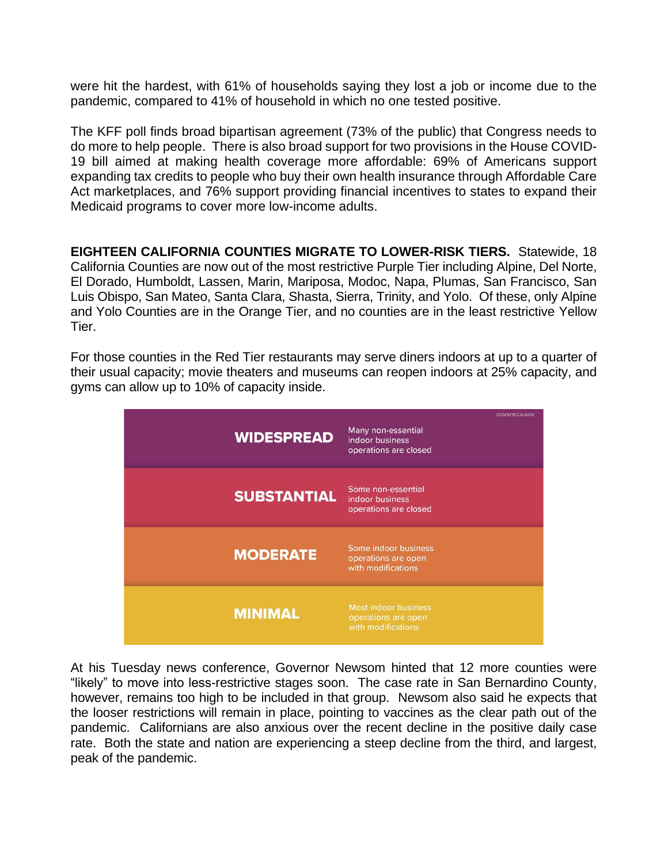were hit the hardest, with 61% of households saying they lost a job or income due to the pandemic, compared to 41% of household in which no one tested positive.

The KFF poll finds broad bipartisan agreement (73% of the public) that Congress needs to do more to help people. There is also broad support for two provisions in the House COVID-19 bill aimed at making health coverage more affordable: 69% of Americans support expanding tax credits to people who buy their own health insurance through Affordable Care Act marketplaces, and 76% support providing financial incentives to states to expand their Medicaid programs to cover more low-income adults.

**EIGHTEEN CALIFORNIA COUNTIES MIGRATE TO LOWER-RISK TIERS.** Statewide, 18 California Counties are now out of the most restrictive Purple Tier including Alpine, Del Norte, El Dorado, Humboldt, Lassen, Marin, Mariposa, Modoc, Napa, Plumas, San Francisco, San Luis Obispo, San Mateo, Santa Clara, Shasta, Sierra, Trinity, and Yolo. Of these, only Alpine and Yolo Counties are in the Orange Tier, and no counties are in the least restrictive Yellow Tier.

For those counties in the Red Tier restaurants may serve diners indoors at up to a quarter of their usual capacity; movie theaters and museums can reopen indoors at 25% capacity, and gyms can allow up to 10% of capacity inside.



At his Tuesday news conference, Governor Newsom hinted that 12 more counties were "likely" to move into less-restrictive stages soon. The case rate in San Bernardino County, however, remains too high to be included in that group. Newsom also said he expects that the looser restrictions will remain in place, pointing to vaccines as the clear path out of the pandemic. Californians are also anxious over the recent decline in the positive daily case rate. Both the state and nation are experiencing a steep decline from the third, and largest, peak of the pandemic.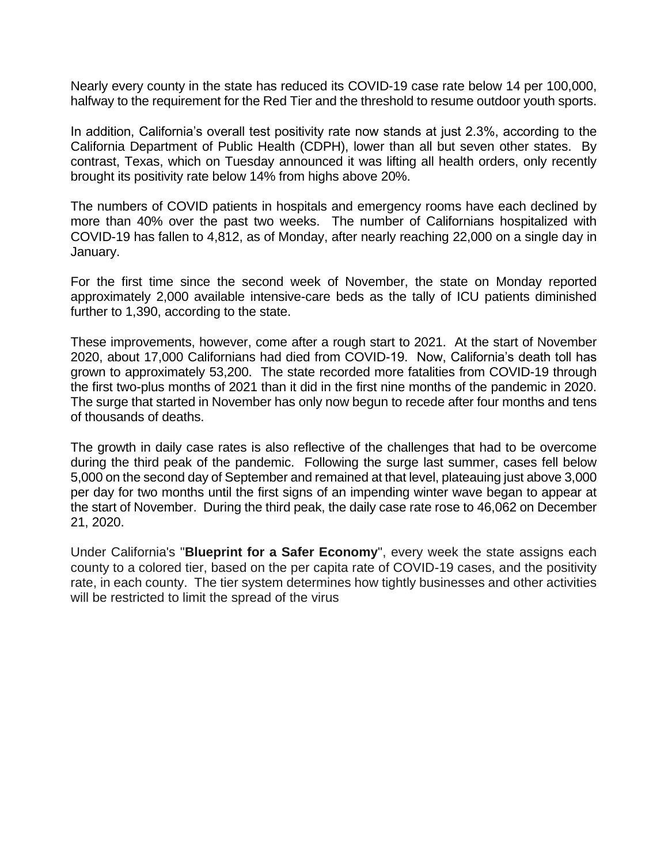Nearly every county in the state has reduced its COVID-19 case rate below 14 per 100,000, halfway to the requirement for the Red Tier and the threshold to resume outdoor youth sports.

In addition, California's overall test positivity rate now stands at just 2.3%, according to the California Department of Public Health (CDPH), lower than all but seven other states. By contrast, Texas, which on Tuesday announced it was lifting all health orders, only recently brought its positivity rate below 14% from highs above 20%.

The numbers of COVID patients in hospitals and emergency rooms have each declined by more than 40% over the past two weeks. The number of Californians hospitalized with COVID-19 has fallen to 4,812, as of Monday, after nearly reaching 22,000 on a single day in January.

For the first time since the second week of November, the state on Monday reported approximately 2,000 available intensive-care beds as the tally of ICU patients diminished further to 1,390, according to the state.

These improvements, however, come after a rough start to 2021. At the start of November 2020, about 17,000 Californians had died from COVID-19. Now, California's death toll has grown to approximately 53,200. The state recorded more fatalities from COVID-19 through the first two-plus months of 2021 than it did in the first nine months of the pandemic in 2020. The surge that started in November has only now begun to recede after four months and tens of thousands of deaths.

The growth in daily case rates is also reflective of the challenges that had to be overcome during the third peak of the pandemic. Following the surge last summer, cases fell below 5,000 on the second day of September and remained at that level, plateauing just above 3,000 per day for two months until the first signs of an impending winter wave began to appear at the start of November. During the third peak, the daily case rate rose to 46,062 on December 21, 2020.

Under California's "**Blueprint for a Safer Economy**", every week the state assigns each county to a colored tier, based on the per capita rate of COVID-19 cases, and the positivity rate, in each county. The tier system determines how tightly businesses and other activities will be restricted to limit the spread of the virus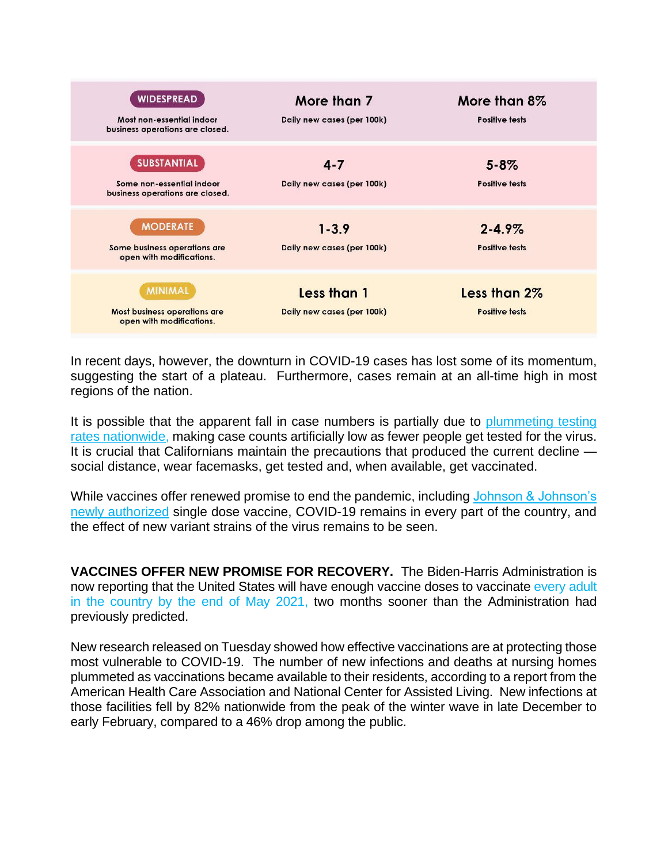| <b>WIDESPREAD</b><br>Most non-essential indoor<br>business operations are closed.  | More than 7<br>Daily new cases (per 100k) | More than 8%<br><b>Positive tests</b> |
|------------------------------------------------------------------------------------|-------------------------------------------|---------------------------------------|
| <b>SUBSTANTIAL</b><br>Some non-essential indoor<br>business operations are closed. | $4 - 7$<br>Daily new cases (per 100k)     | $5 - 8\%$<br><b>Positive tests</b>    |
| <b>MODERATE</b><br>Some business operations are<br>open with modifications.        | $1 - 3.9$<br>Daily new cases (per 100k)   | $2 - 4.9\%$<br><b>Positive tests</b>  |
| <b>MINIMAL</b><br><b>Most business operations are</b><br>open with modifications.  | Less than 1<br>Daily new cases (per 100k) | Less than 2%<br><b>Positive tests</b> |

In recent days, however, the downturn in COVID-19 cases has lost some of its momentum, suggesting the start of a plateau. Furthermore, cases remain at an all-time high in most regions of the nation.

It is possible that the apparent fall in case numbers is partially due to plummeting testing [rates nationwide,](https://www.popsci.com/story/health/latest-coronavirus-news-covid-testing-covax/) making case counts artificially low as fewer people get tested for the virus. It is crucial that Californians maintain the precautions that produced the current decline social distance, wear facemasks, get tested and, when available, get vaccinated.

While vaccines offer renewed promise to end the pandemic, including Johnson & Johnson's [newly authorized](https://www.popsci.com/story/health/johnson-johnson-vaccine-availability/) single dose vaccine, COVID-19 remains in every part of the country, and the effect of new variant strains of the virus remains to be seen.

**VACCINES OFFER NEW PROMISE FOR RECOVERY.** The Biden-Harris Administration is now reporting that the United States will have enough vaccine doses to vaccinate [every](https://apnews.com/article/merck-help-make-johnson-johnson-vaccine-9ca6f1f4c502b095531926a53abe7262) adult in the [country](https://apnews.com/article/merck-help-make-johnson-johnson-vaccine-9ca6f1f4c502b095531926a53abe7262) by the end of May 2021, two months sooner than the Administration had previously predicted.

New research released on Tuesday showed how effective vaccinations are at protecting those most vulnerable to COVID-19. The number of new infections and deaths at nursing homes plummeted as vaccinations became available to their residents, according to a report from the American Health Care Association and National Center for Assisted Living. New infections at those facilities fell by 82% nationwide from the peak of the winter wave in late December to early February, compared to a 46% drop among the public.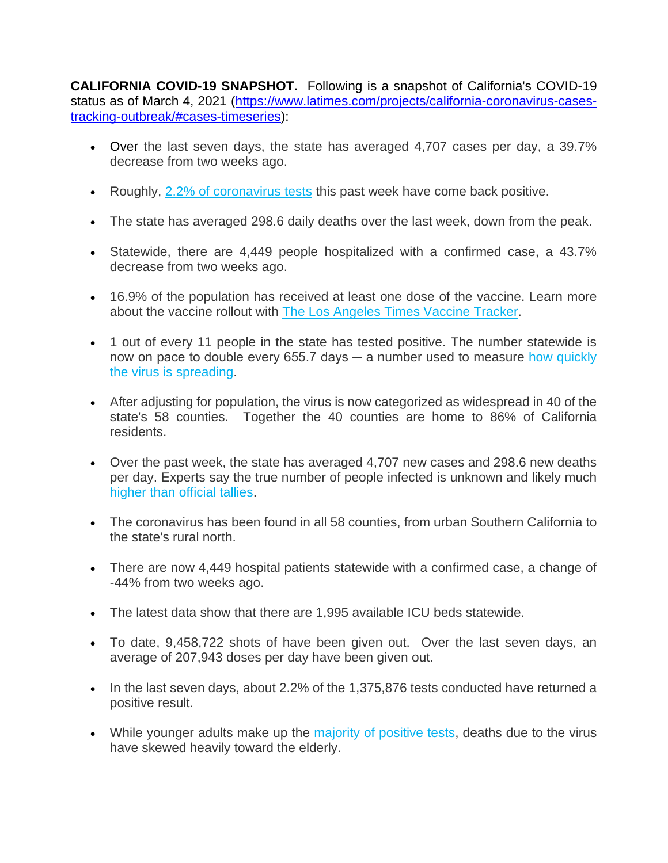**CALIFORNIA COVID-19 SNAPSHOT.** Following is a snapshot of California's COVID-19 status as of March 4, 2021 [\(https://www.latimes.com/projects/california-coronavirus-cases](https://www.latimes.com/projects/california-coronavirus-cases-tracking-outbreak/#cases-timeseries)[tracking-outbreak/#cases-timeseries\)](https://www.latimes.com/projects/california-coronavirus-cases-tracking-outbreak/#cases-timeseries):

- Over the last seven days, the state has averaged 4,707 cases per day, a 39.7% decrease from two weeks ago.
- Roughly, [2.2% of coronavirus tests](https://www.latimes.com/projects/california-coronavirus-cases-tracking-outbreak/#testing) this past week have come back positive.
- The state has averaged 298.6 daily deaths over the last week, down from the peak.
- Statewide, there are 4,449 people hospitalized with a confirmed case, a 43.7% decrease from two weeks ago.
- 16.9% of the population has received at least one dose of the vaccine. Learn more about the vaccine rollout with [The Los Angeles Times Vaccine Tracker.](https://www.latimes.com/projects/california-coronavirus-cases-tracking-outbreak/covid-19-vaccines-distribution/)
- 1 out of every 11 people in the state has tested positive. The number statewide is now on pace to double every 655.7 days  $-$  a number used to measure how quickly [the virus is spreading.](https://www.latimes.com/projects/california-coronavirus-cases-tracking-outbreak/curves/)
- After adjusting for population, the virus is now categorized as widespread in 40 of the state's 58 counties. Together the 40 counties are home to 86% of California residents.
- Over the past week, the state has averaged 4,707 new cases and 298.6 new deaths per day. Experts say the true number of people infected is unknown and likely much [higher than official tallies.](https://www.latimes.com/california/story/2020-04-20/coronavirus-serology-testing-la-county)
- The coronavirus has been found in all 58 counties, from urban Southern California to the state's rural north.
- There are now 4,449 hospital patients statewide with a confirmed case, a change of -44% from two weeks ago.
- The latest data show that there are 1,995 available ICU beds statewide.
- To date, 9,458,722 shots of have been given out. Over the last seven days, an average of 207,943 doses per day have been given out.
- In the last seven days, about 2.2% of the 1,375,876 tests conducted have returned a positive result.
- While younger adults make up the [majority of positive tests,](https://www.latimes.com/california/story/2020-06-26/california-coronavirus-case-surge-rising-infections-in-younger-people) deaths due to the virus have skewed heavily toward the elderly.